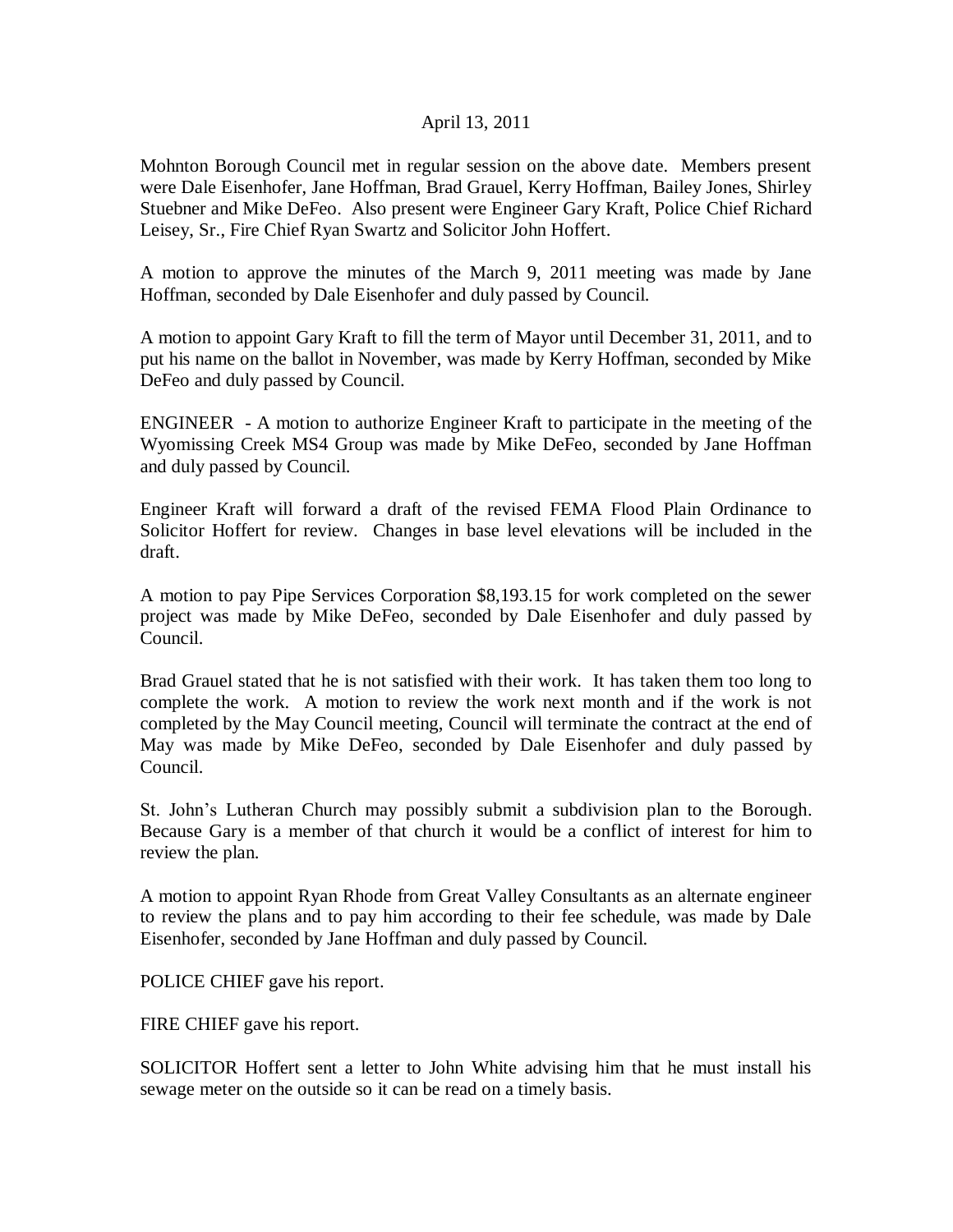## April 13, 2011

Mohnton Borough Council met in regular session on the above date. Members present were Dale Eisenhofer, Jane Hoffman, Brad Grauel, Kerry Hoffman, Bailey Jones, Shirley Stuebner and Mike DeFeo. Also present were Engineer Gary Kraft, Police Chief Richard Leisey, Sr., Fire Chief Ryan Swartz and Solicitor John Hoffert.

A motion to approve the minutes of the March 9, 2011 meeting was made by Jane Hoffman, seconded by Dale Eisenhofer and duly passed by Council.

A motion to appoint Gary Kraft to fill the term of Mayor until December 31, 2011, and to put his name on the ballot in November, was made by Kerry Hoffman, seconded by Mike DeFeo and duly passed by Council.

ENGINEER - A motion to authorize Engineer Kraft to participate in the meeting of the Wyomissing Creek MS4 Group was made by Mike DeFeo, seconded by Jane Hoffman and duly passed by Council.

Engineer Kraft will forward a draft of the revised FEMA Flood Plain Ordinance to Solicitor Hoffert for review. Changes in base level elevations will be included in the draft.

A motion to pay Pipe Services Corporation \$8,193.15 for work completed on the sewer project was made by Mike DeFeo, seconded by Dale Eisenhofer and duly passed by Council.

Brad Grauel stated that he is not satisfied with their work. It has taken them too long to complete the work. A motion to review the work next month and if the work is not completed by the May Council meeting, Council will terminate the contract at the end of May was made by Mike DeFeo, seconded by Dale Eisenhofer and duly passed by Council.

St. John's Lutheran Church may possibly submit a subdivision plan to the Borough. Because Gary is a member of that church it would be a conflict of interest for him to review the plan.

A motion to appoint Ryan Rhode from Great Valley Consultants as an alternate engineer to review the plans and to pay him according to their fee schedule, was made by Dale Eisenhofer, seconded by Jane Hoffman and duly passed by Council.

POLICE CHIEF gave his report.

FIRE CHIEF gave his report.

SOLICITOR Hoffert sent a letter to John White advising him that he must install his sewage meter on the outside so it can be read on a timely basis.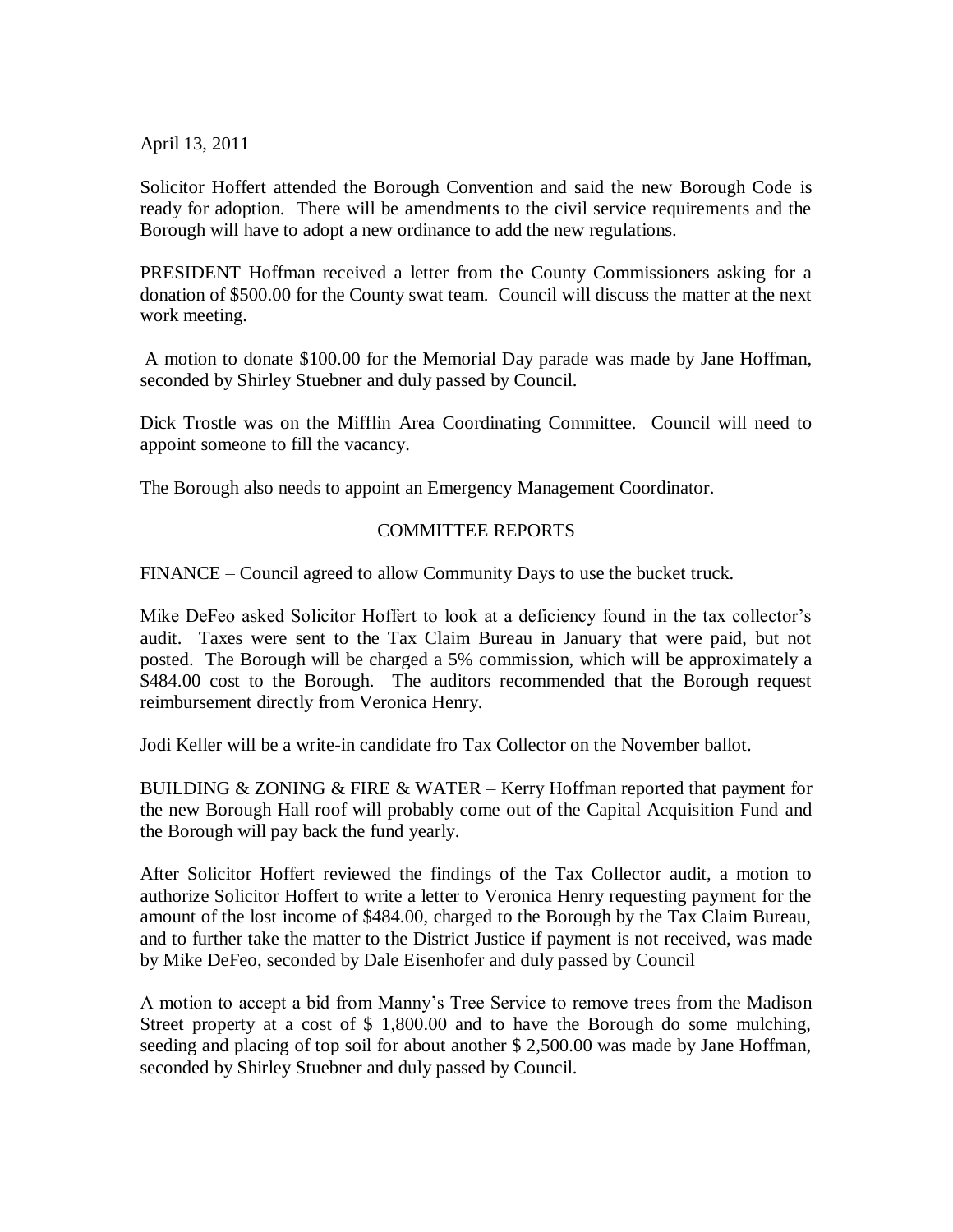April 13, 2011

Solicitor Hoffert attended the Borough Convention and said the new Borough Code is ready for adoption. There will be amendments to the civil service requirements and the Borough will have to adopt a new ordinance to add the new regulations.

PRESIDENT Hoffman received a letter from the County Commissioners asking for a donation of \$500.00 for the County swat team. Council will discuss the matter at the next work meeting.

A motion to donate \$100.00 for the Memorial Day parade was made by Jane Hoffman, seconded by Shirley Stuebner and duly passed by Council.

Dick Trostle was on the Mifflin Area Coordinating Committee. Council will need to appoint someone to fill the vacancy.

The Borough also needs to appoint an Emergency Management Coordinator.

## COMMITTEE REPORTS

FINANCE – Council agreed to allow Community Days to use the bucket truck.

Mike DeFeo asked Solicitor Hoffert to look at a deficiency found in the tax collector's audit. Taxes were sent to the Tax Claim Bureau in January that were paid, but not posted. The Borough will be charged a 5% commission, which will be approximately a \$484.00 cost to the Borough. The auditors recommended that the Borough request reimbursement directly from Veronica Henry.

Jodi Keller will be a write-in candidate fro Tax Collector on the November ballot.

BUILDING & ZONING & FIRE & WATER – Kerry Hoffman reported that payment for the new Borough Hall roof will probably come out of the Capital Acquisition Fund and the Borough will pay back the fund yearly.

After Solicitor Hoffert reviewed the findings of the Tax Collector audit, a motion to authorize Solicitor Hoffert to write a letter to Veronica Henry requesting payment for the amount of the lost income of \$484.00, charged to the Borough by the Tax Claim Bureau, and to further take the matter to the District Justice if payment is not received, was made by Mike DeFeo, seconded by Dale Eisenhofer and duly passed by Council

A motion to accept a bid from Manny's Tree Service to remove trees from the Madison Street property at a cost of \$ 1,800.00 and to have the Borough do some mulching, seeding and placing of top soil for about another \$ 2,500.00 was made by Jane Hoffman, seconded by Shirley Stuebner and duly passed by Council.